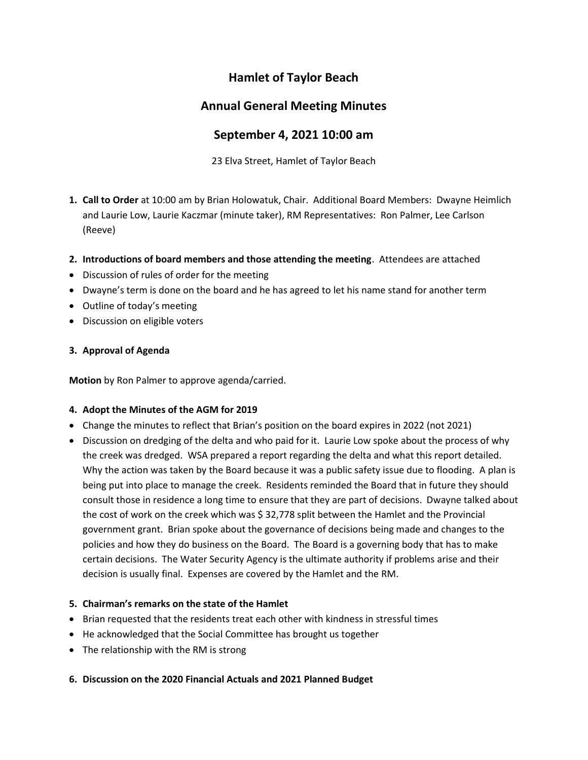# Hamlet of Taylor Beach

## Annual General Meeting Minutes

## September 4, 2021 10:00 am

23 Elva Street, Hamlet of Taylor Beach

- 1. Call to Order at 10:00 am by Brian Holowatuk, Chair. Additional Board Members: Dwayne Heimlich and Laurie Low, Laurie Kaczmar (minute taker), RM Representatives: Ron Palmer, Lee Carlson (Reeve)
- 2. Introductions of board members and those attending the meeting. Attendees are attached
- Discussion of rules of order for the meeting
- Dwayne's term is done on the board and he has agreed to let his name stand for another term
- Outline of today's meeting
- Discussion on eligible voters

### 3. Approval of Agenda

Motion by Ron Palmer to approve agenda/carried.

### 4. Adopt the Minutes of the AGM for 2019

- Change the minutes to reflect that Brian's position on the board expires in 2022 (not 2021)
- Discussion on dredging of the delta and who paid for it. Laurie Low spoke about the process of why the creek was dredged. WSA prepared a report regarding the delta and what this report detailed. Why the action was taken by the Board because it was a public safety issue due to flooding. A plan is being put into place to manage the creek. Residents reminded the Board that in future they should consult those in residence a long time to ensure that they are part of decisions. Dwayne talked about the cost of work on the creek which was \$ 32,778 split between the Hamlet and the Provincial government grant. Brian spoke about the governance of decisions being made and changes to the policies and how they do business on the Board. The Board is a governing body that has to make certain decisions. The Water Security Agency is the ultimate authority if problems arise and their decision is usually final. Expenses are covered by the Hamlet and the RM.

### 5. Chairman's remarks on the state of the Hamlet

- Brian requested that the residents treat each other with kindness in stressful times
- He acknowledged that the Social Committee has brought us together
- The relationship with the RM is strong
- 6. Discussion on the 2020 Financial Actuals and 2021 Planned Budget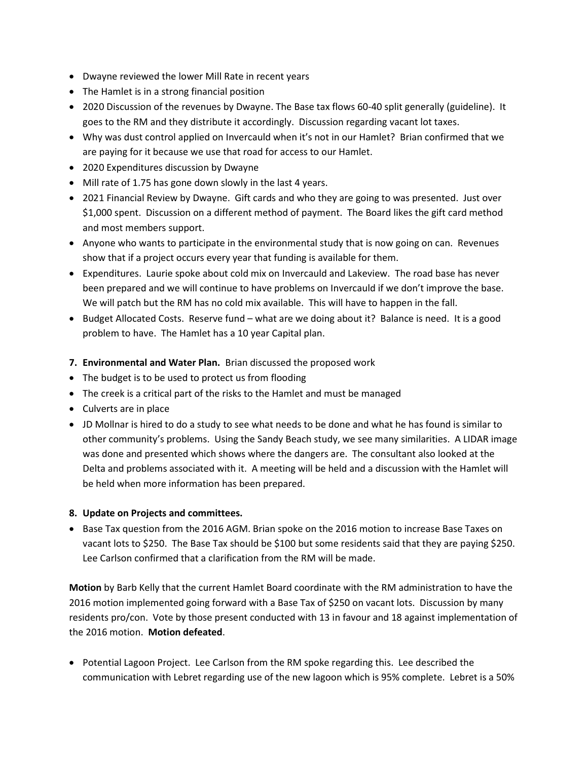- Dwayne reviewed the lower Mill Rate in recent years
- The Hamlet is in a strong financial position
- 2020 Discussion of the revenues by Dwayne. The Base tax flows 60-40 split generally (guideline). It goes to the RM and they distribute it accordingly. Discussion regarding vacant lot taxes.
- Why was dust control applied on Invercauld when it's not in our Hamlet? Brian confirmed that we are paying for it because we use that road for access to our Hamlet.
- 2020 Expenditures discussion by Dwayne
- Mill rate of 1.75 has gone down slowly in the last 4 years.
- 2021 Financial Review by Dwayne. Gift cards and who they are going to was presented. Just over \$1,000 spent. Discussion on a different method of payment. The Board likes the gift card method and most members support.
- Anyone who wants to participate in the environmental study that is now going on can. Revenues show that if a project occurs every year that funding is available for them.
- Expenditures. Laurie spoke about cold mix on Invercauld and Lakeview. The road base has never been prepared and we will continue to have problems on Invercauld if we don't improve the base. We will patch but the RM has no cold mix available. This will have to happen in the fall.
- Budget Allocated Costs. Reserve fund what are we doing about it? Balance is need. It is a good problem to have. The Hamlet has a 10 year Capital plan.
- 7. Environmental and Water Plan. Brian discussed the proposed work
- The budget is to be used to protect us from flooding
- The creek is a critical part of the risks to the Hamlet and must be managed
- Culverts are in place
- JD Mollnar is hired to do a study to see what needs to be done and what he has found is similar to other community's problems. Using the Sandy Beach study, we see many similarities. A LIDAR image was done and presented which shows where the dangers are. The consultant also looked at the Delta and problems associated with it. A meeting will be held and a discussion with the Hamlet will be held when more information has been prepared.

#### 8. Update on Projects and committees.

• Base Tax question from the 2016 AGM. Brian spoke on the 2016 motion to increase Base Taxes on vacant lots to \$250. The Base Tax should be \$100 but some residents said that they are paying \$250. Lee Carlson confirmed that a clarification from the RM will be made.

Motion by Barb Kelly that the current Hamlet Board coordinate with the RM administration to have the 2016 motion implemented going forward with a Base Tax of \$250 on vacant lots. Discussion by many residents pro/con. Vote by those present conducted with 13 in favour and 18 against implementation of the 2016 motion. Motion defeated.

• Potential Lagoon Project. Lee Carlson from the RM spoke regarding this. Lee described the communication with Lebret regarding use of the new lagoon which is 95% complete. Lebret is a 50%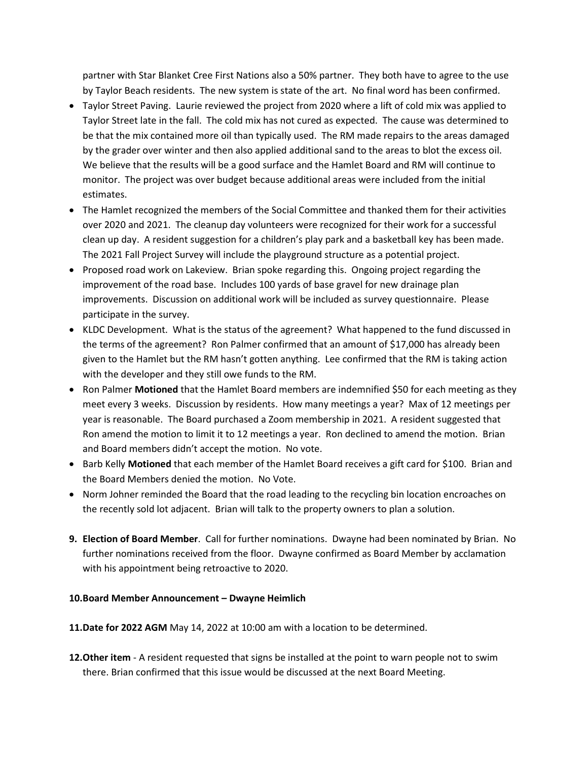partner with Star Blanket Cree First Nations also a 50% partner. They both have to agree to the use by Taylor Beach residents. The new system is state of the art. No final word has been confirmed.

- Taylor Street Paving. Laurie reviewed the project from 2020 where a lift of cold mix was applied to Taylor Street late in the fall. The cold mix has not cured as expected. The cause was determined to be that the mix contained more oil than typically used. The RM made repairs to the areas damaged by the grader over winter and then also applied additional sand to the areas to blot the excess oil. We believe that the results will be a good surface and the Hamlet Board and RM will continue to monitor. The project was over budget because additional areas were included from the initial estimates.
- The Hamlet recognized the members of the Social Committee and thanked them for their activities over 2020 and 2021. The cleanup day volunteers were recognized for their work for a successful clean up day. A resident suggestion for a children's play park and a basketball key has been made. The 2021 Fall Project Survey will include the playground structure as a potential project.
- Proposed road work on Lakeview. Brian spoke regarding this. Ongoing project regarding the improvement of the road base. Includes 100 yards of base gravel for new drainage plan improvements. Discussion on additional work will be included as survey questionnaire. Please participate in the survey.
- KLDC Development. What is the status of the agreement? What happened to the fund discussed in the terms of the agreement? Ron Palmer confirmed that an amount of \$17,000 has already been given to the Hamlet but the RM hasn't gotten anything. Lee confirmed that the RM is taking action with the developer and they still owe funds to the RM.
- Ron Palmer Motioned that the Hamlet Board members are indemnified \$50 for each meeting as they meet every 3 weeks. Discussion by residents. How many meetings a year? Max of 12 meetings per year is reasonable. The Board purchased a Zoom membership in 2021. A resident suggested that Ron amend the motion to limit it to 12 meetings a year. Ron declined to amend the motion. Brian and Board members didn't accept the motion. No vote.
- Barb Kelly Motioned that each member of the Hamlet Board receives a gift card for \$100. Brian and the Board Members denied the motion. No Vote.
- Norm Johner reminded the Board that the road leading to the recycling bin location encroaches on the recently sold lot adjacent. Brian will talk to the property owners to plan a solution.
- 9. Election of Board Member. Call for further nominations. Dwayne had been nominated by Brian. No further nominations received from the floor. Dwayne confirmed as Board Member by acclamation with his appointment being retroactive to 2020.

#### 10.Board Member Announcement – Dwayne Heimlich

11.Date for 2022 AGM May 14, 2022 at 10:00 am with a location to be determined.

12. Other item - A resident requested that signs be installed at the point to warn people not to swim there. Brian confirmed that this issue would be discussed at the next Board Meeting.